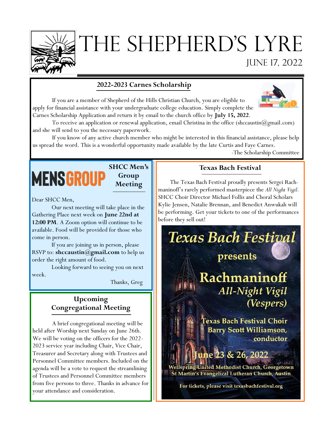



## June 17, 2022

#### **2022-2023 Carnes Scholarship**

If you are a member of Shepherd of the Hills Christian Church, you are eligible to apply for financial assistance with your undergraduate college education. Simply complete the Carnes Scholarship Application and return it by email to the church office by **July 15, 2022**.



To receive an application or renewal application, email Christina in the office (shccaustin@gmail.com) and she will send to you the necessary paperwork.

If you know of any active church member who might be interested in this financial assistance, please help us spread the word. This is a wonderful opportunity made available by the late Curtis and Faye Carnes.

-The Scholarship Committee

## **SHCC Men's MENSGROUP**

Dear SHCC Men,

Our next meeting will take place in the Gathering Place next week on **June 22nd at 12:00 PM**. A Zoom option will continue to be available. Food will be provided for those who come in person.

If you are joining us in person, please RSVP to: **shccaustin@gmail.com** to help us order the right amount of food.

Looking forward to seeing you on next week.

Thanks, Greg

**Group Meeting**

#### **Upcoming Congregational Meeting**

A brief congregational meeting will be held after Worship next Sunday on June 26th. We will be voting on the officers for the 2022- 2023 service year including Chair, Vice Chair, Treasurer and Secretary along with Trustees and Personnel Committee members. Included on the agenda will be a vote to request the streamlining of Trustees and Personnel Committee members from five persons to three. Thanks in advance for your attendance and consideration.

#### **Texas Bach Festival**

 The Texas Bach Festival proudly presents Sergei Rachmaninoff's rarely performed masterpiece the *All Night Vigil.*  SHCC Choir Director Michael Follis and Choral Scholars Kylie Jensen, Natalie Brennan, and Benedict Anwukah will be performing. Get your tickets to one of the performances before they sell out!

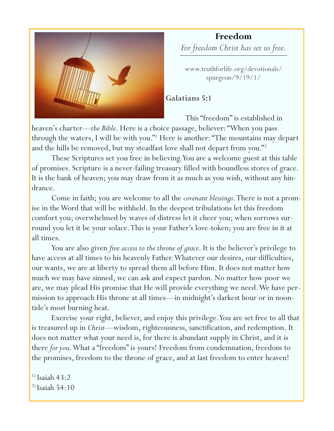

**Freedom** *For freedom Christ has set us free.*

www.truthforlife.org/devotionals/ spurgeon/9/19/1/

#### **[Galatians 5:1](https://www.truthforlife.org/bible/Galatians%205:1/)**

This "freedom" is established in

heaven's charter—*the Bible*. Here is a choice passage, believer: "When you pass through the waters, I will be with you."<sup>1</sup> Here is another: "The mountains may depart and the hills be removed, but my steadfast love shall not depart from you."<sup>2</sup>

These Scriptures set you free in believing. You are a welcome guest at this table of promises. Scripture is a never-failing treasury filled with boundless stores of grace. It is the bank of heaven; you may draw from it as much as you wish, without any hindrance.

Come in faith; you are welcome to all the *covenant blessings*. There is not a promise in the Word that will be withheld. In the deepest tribulations let this freedom comfort you; overwhelmed by waves of distress let it cheer you; when sorrows surround you let it be your solace. This is your Father's love-token; you are free in it at all times.

You are also given *free access to the throne of grace*. It is the believer's privilege to have access at all times to his heavenly Father. Whatever our desires, our difficulties, our wants, we are at liberty to spread them all before Him. It does not matter how much we may have sinned, we can ask and expect pardon. No matter how poor we are, we may plead His promise that He will provide everything we need. We have permission to approach His throne at all times—in midnight's darkest hour or in noontide's most burning heat.

Exercise your right, believer, and enjoy this privilege. You are set free to all that is treasured up in *Christ—*wisdom, righteousness, sanctification, and redemption. It does not matter what your need is, for there is abundant supply in Christ, and it is there *for you*. What a "freedom" is yours! Freedom from condemnation, freedom to the promises, freedom to the throne of grace, and at last freedom to enter heaven!

 $<sup>1</sup>$  Isaiah 43:2</sup>  $^{2)}$  Isaiah 54:10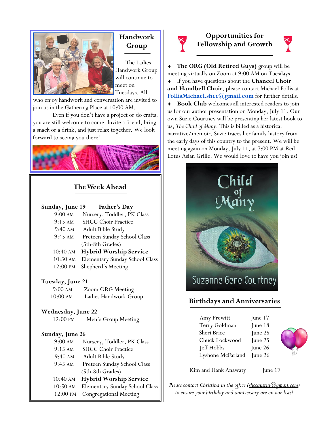

## **Handwork Group**

 The Ladies Handwork Group will continue to meet on Tuesdays. All

who enjoy handwork and conversation are invited to join us in the Gathering Place at 10:00 AM.

Even if you don't have a project or do crafts, you are still welcome to come. Invite a friend, bring a snack or a drink, and just relax together. We look forward to seeing you there!



#### **The Week Ahead**

|            | Sunday, June 19   Father's Day |
|------------|--------------------------------|
| $9:00$ AM  | Nursery, Toddler, PK Class     |
| $9:15$ AM  | <b>SHCC Choir Practice</b>     |
| 9:40 am    | Adult Bible Study              |
| $9:45$ AM  | Preteen Sunday School Class    |
|            | (5th-8th Grades)               |
| 10:40 AM   | <b>Hybrid Worship Service</b>  |
| $10:50$ AM | Elementary Sunday School Class |
| 12:00 PM   | Shepherd's Meeting             |

#### **Tuesday, June 21**

9:00 AM Zoom ORG Meeting 10:00 AM Ladies Handwork Group

#### **Wednesday, June 22**

#### **Sunday, June 26**

֖֖֖֖֖֖֖֖֖֖֖֪֪֪֪֦֖֧֚֚֚֚֚֚֚֚֚֚֬֝֓֝֓֬֝֓֝<del>֓</del>

| $9:00 \text{ AM}$ | Nursery, Toddler, PK Class     |  |
|-------------------|--------------------------------|--|
| $9:15$ AM         | <b>SHCC Choir Practice</b>     |  |
| 9:40 AM           | Adult Bible Study              |  |
| 9:45 AM           | Preteen Sunday School Class    |  |
|                   | (5th-8th Grades)               |  |
| 10:40 AM          | <b>Hybrid Worship Service</b>  |  |
| $10:50$ AM        | Elementary Sunday School Class |  |
| 12:00 PM          | <b>Congregational Meeting</b>  |  |



### **Opportunities for Fellowship and Growth**

 **The ORG (Old Retired Guys)** group will be meeting virtually on Zoom at 9:00 AM on Tuesdays. If you have questions about the **Chancel Choir and Handbell Choir**, please contact Michael Follis at **FollisMichael.shcc@gmail.com** for further details.

 **Book Club** welcomes all interested readers to join us for our author presentation on Monday, July 11. Our own Suzie Courtney will be presenting her latest book to us, *The Child of Many*. This is billed as a historical narrative/memoir. Suzie traces her family history from the early days of this country to the present. We will be meeting again on Monday, July 11, at 7:00 PM at Red Lotus Asian Grille. We would love to have you join us!



## Suzanne Gene Courtney

#### **Birthdays and Anniversaries**

| Amy Prewitt<br>Terry Goldman<br>Sheri Brice<br>Chuck Lockwood<br><b>Jeff Hobbs</b> | June 17<br>June $18$<br>June 25<br>June 25<br>June $26$ |  |
|------------------------------------------------------------------------------------|---------------------------------------------------------|--|
| Lyshone McFarland June 26                                                          |                                                         |  |

Kim and Hank Anawaty June 17

*Please contact Christina in the office [\(shccaustin@gmail.com\)](mailto:shcc@shccaustin.org)  to ensure your birthday and anniversary are on our lists!*